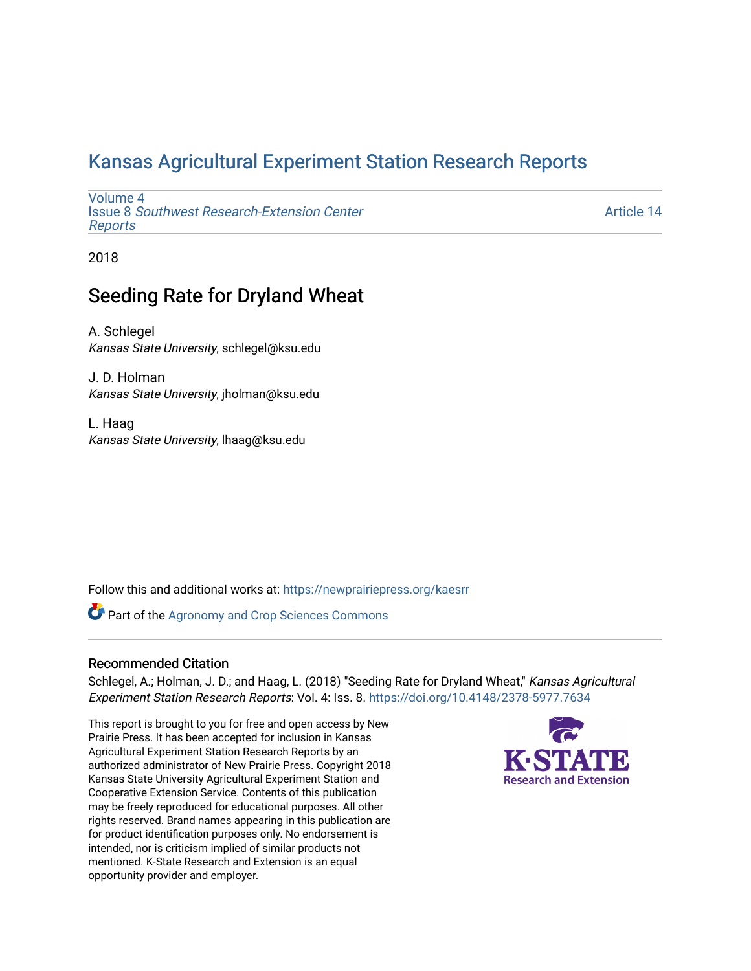### [Kansas Agricultural Experiment Station Research Reports](https://newprairiepress.org/kaesrr)

[Volume 4](https://newprairiepress.org/kaesrr/vol4) Issue 8 [Southwest Research-Extension Center](https://newprairiepress.org/kaesrr/vol4/iss8)  [Reports](https://newprairiepress.org/kaesrr/vol4/iss8)

[Article 14](https://newprairiepress.org/kaesrr/vol4/iss8/14) 

2018

### Seeding Rate for Dryland Wheat

A. Schlegel Kansas State University, schlegel@ksu.edu

J. D. Holman Kansas State University, jholman@ksu.edu

L. Haag Kansas State University, lhaag@ksu.edu

Follow this and additional works at: [https://newprairiepress.org/kaesrr](https://newprairiepress.org/kaesrr?utm_source=newprairiepress.org%2Fkaesrr%2Fvol4%2Fiss8%2F14&utm_medium=PDF&utm_campaign=PDFCoverPages) 

**Part of the Agronomy and Crop Sciences Commons** 

### Recommended Citation

Schlegel, A.; Holman, J. D.; and Haag, L. (2018) "Seeding Rate for Dryland Wheat," Kansas Agricultural Experiment Station Research Reports: Vol. 4: Iss. 8. <https://doi.org/10.4148/2378-5977.7634>

This report is brought to you for free and open access by New Prairie Press. It has been accepted for inclusion in Kansas Agricultural Experiment Station Research Reports by an authorized administrator of New Prairie Press. Copyright 2018 Kansas State University Agricultural Experiment Station and Cooperative Extension Service. Contents of this publication may be freely reproduced for educational purposes. All other rights reserved. Brand names appearing in this publication are for product identification purposes only. No endorsement is intended, nor is criticism implied of similar products not mentioned. K-State Research and Extension is an equal opportunity provider and employer.

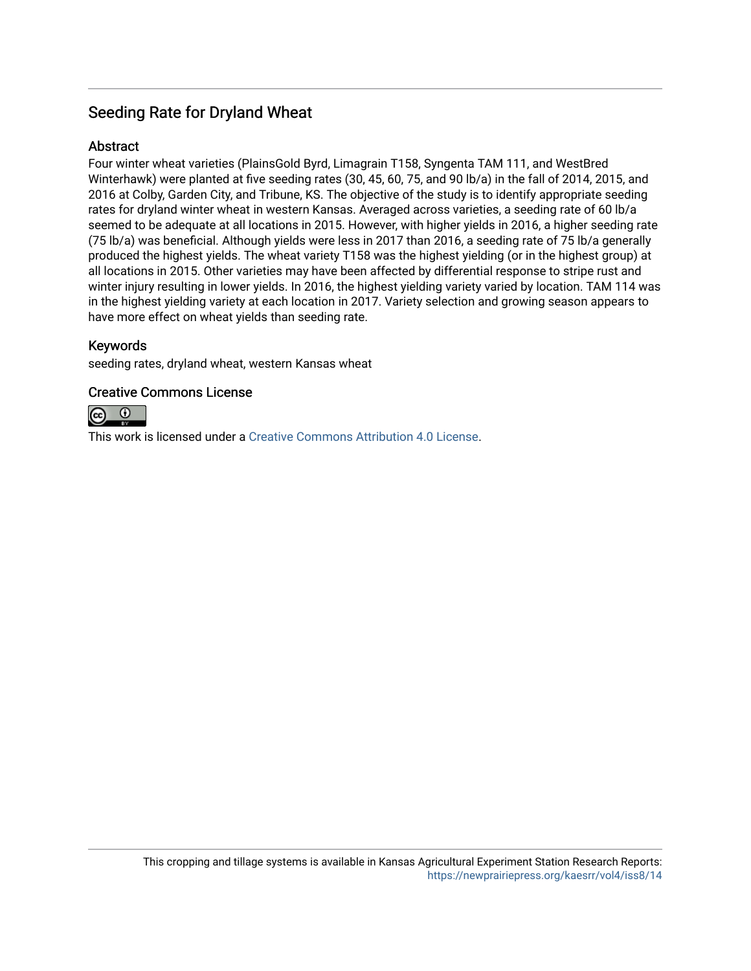### Seeding Rate for Dryland Wheat

### **Abstract**

Four winter wheat varieties (PlainsGold Byrd, Limagrain T158, Syngenta TAM 111, and WestBred Winterhawk) were planted at five seeding rates (30, 45, 60, 75, and 90 lb/a) in the fall of 2014, 2015, and 2016 at Colby, Garden City, and Tribune, KS. The objective of the study is to identify appropriate seeding rates for dryland winter wheat in western Kansas. Averaged across varieties, a seeding rate of 60 lb/a seemed to be adequate at all locations in 2015. However, with higher yields in 2016, a higher seeding rate (75 lb/a) was beneficial. Although yields were less in 2017 than 2016, a seeding rate of 75 lb/a generally produced the highest yields. The wheat variety T158 was the highest yielding (or in the highest group) at all locations in 2015. Other varieties may have been affected by differential response to stripe rust and winter injury resulting in lower yields. In 2016, the highest yielding variety varied by location. TAM 114 was in the highest yielding variety at each location in 2017. Variety selection and growing season appears to have more effect on wheat yields than seeding rate.

### Keywords

seeding rates, dryland wheat, western Kansas wheat

### Creative Commons License



This work is licensed under a [Creative Commons Attribution 4.0 License](https://creativecommons.org/licenses/by/4.0/).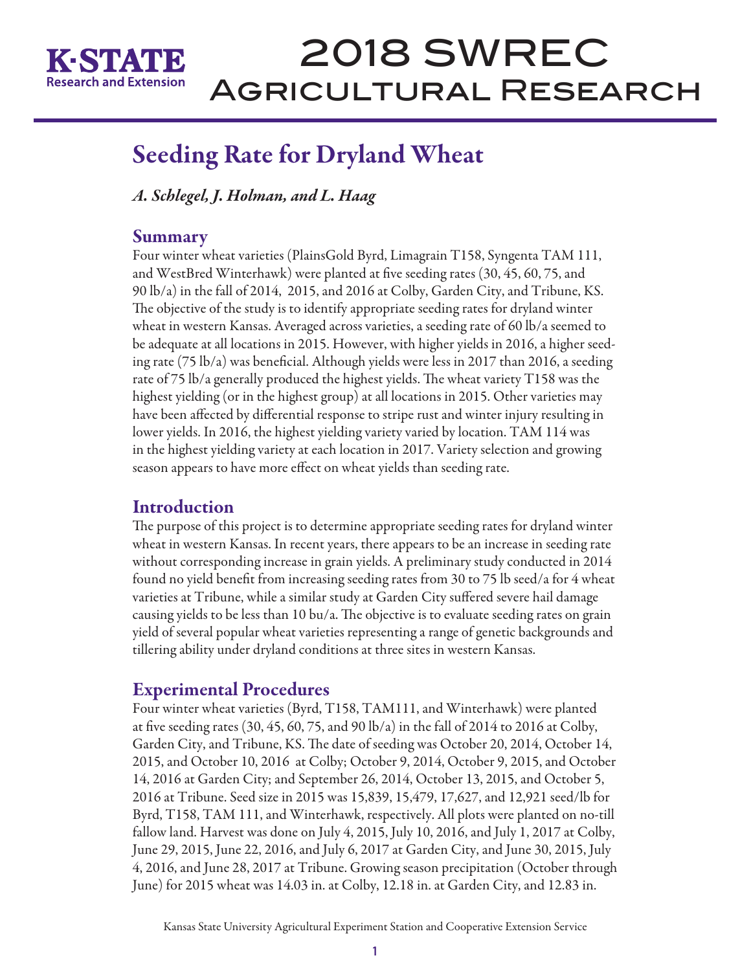

## Seeding Rate for Dryland Wheat

*A. Schlegel, J. Holman, and L. Haag*

### Summary

Four winter wheat varieties (PlainsGold Byrd, Limagrain T158, Syngenta TAM 111, and WestBred Winterhawk) were planted at five seeding rates (30, 45, 60, 75, and 90 lb/a) in the fall of 2014, 2015, and 2016 at Colby, Garden City, and Tribune, KS. The objective of the study is to identify appropriate seeding rates for dryland winter wheat in western Kansas. Averaged across varieties, a seeding rate of 60 lb/a seemed to be adequate at all locations in 2015. However, with higher yields in 2016, a higher seeding rate (75 lb/a) was beneficial. Although yields were less in 2017 than 2016, a seeding rate of 75 lb/a generally produced the highest yields. The wheat variety T158 was the highest yielding (or in the highest group) at all locations in 2015. Other varieties may have been affected by differential response to stripe rust and winter injury resulting in lower yields. In 2016, the highest yielding variety varied by location. TAM 114 was in the highest yielding variety at each location in 2017. Variety selection and growing season appears to have more effect on wheat yields than seeding rate.

### **Introduction**

The purpose of this project is to determine appropriate seeding rates for dryland winter wheat in western Kansas. In recent years, there appears to be an increase in seeding rate without corresponding increase in grain yields. A preliminary study conducted in 2014 found no yield benefit from increasing seeding rates from 30 to 75 lb seed/a for 4 wheat varieties at Tribune, while a similar study at Garden City suffered severe hail damage causing yields to be less than 10 bu/a. The objective is to evaluate seeding rates on grain yield of several popular wheat varieties representing a range of genetic backgrounds and tillering ability under dryland conditions at three sites in western Kansas.

### Experimental Procedures

Four winter wheat varieties (Byrd, T158, TAM111, and Winterhawk) were planted at five seeding rates  $(30, 45, 60, 75,$  and  $90 \, lb/a)$  in the fall of 2014 to 2016 at Colby, Garden City, and Tribune, KS. The date of seeding was October 20, 2014, October 14, 2015, and October 10, 2016 at Colby; October 9, 2014, October 9, 2015, and October 14, 2016 at Garden City; and September 26, 2014, October 13, 2015, and October 5, 2016 at Tribune. Seed size in 2015 was 15,839, 15,479, 17,627, and 12,921 seed/lb for Byrd, T158, TAM 111, and Winterhawk, respectively. All plots were planted on no-till fallow land. Harvest was done on July 4, 2015, July 10, 2016, and July 1, 2017 at Colby, June 29, 2015, June 22, 2016, and July 6, 2017 at Garden City, and June 30, 2015, July 4, 2016, and June 28, 2017 at Tribune. Growing season precipitation (October through June) for 2015 wheat was 14.03 in. at Colby, 12.18 in. at Garden City, and 12.83 in.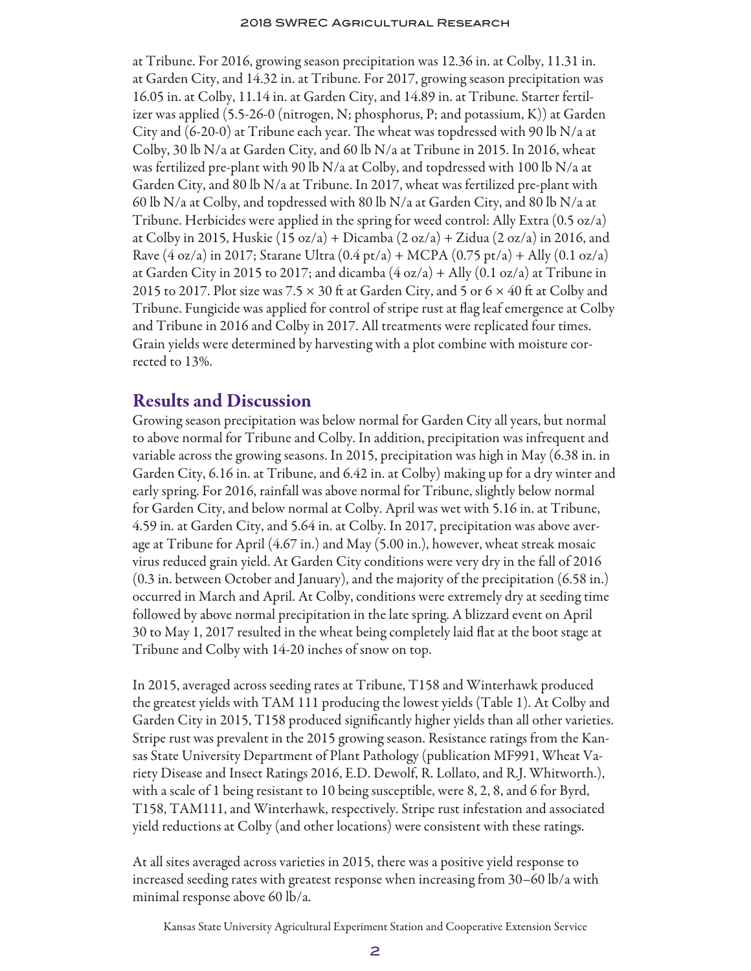at Tribune. For 2016, growing season precipitation was 12.36 in. at Colby, 11.31 in. at Garden City, and 14.32 in. at Tribune. For 2017, growing season precipitation was 16.05 in. at Colby, 11.14 in. at Garden City, and 14.89 in. at Tribune. Starter fertilizer was applied (5.5-26-0 (nitrogen, N; phosphorus, P; and potassium, K)) at Garden City and  $(6-20-0)$  at Tribune each year. The wheat was topdressed with 90 lb N/a at Colby, 30 lb  $N/a$  at Garden City, and 60 lb  $N/a$  at Tribune in 2015. In 2016, wheat was fertilized pre-plant with 90 lb  $N/a$  at Colby, and topdressed with 100 lb  $N/a$  at Garden City, and 80 lb N/a at Tribune. In 2017, wheat was fertilized pre-plant with 60 lb N/a at Colby, and topdressed with 80 lb N/a at Garden City, and 80 lb N/a at Tribune. Herbicides were applied in the spring for weed control: Ally Extra (0.5 oz/a) at Colby in 2015, Huskie (15 oz/a) + Dicamba (2 oz/a) + Zidua (2 oz/a) in 2016, and Rave  $(4 \text{ oz}/a)$  in 2017; Starane Ultra  $(0.4 \text{ pt}/a) + \text{MCPA} (0.75 \text{ pt}/a) + \text{Ally} (0.1 \text{ oz}/a)$ at Garden City in 2015 to 2017; and dicamba  $(4 \alpha z/a) +$  Ally  $(0.1 \alpha z/a)$  at Tribune in 2015 to 2017. Plot size was 7.5  $\times$  30 ft at Garden City, and 5 or 6  $\times$  40 ft at Colby and Tribune. Fungicide was applied for control of stripe rust at flag leaf emergence at Colby and Tribune in 2016 and Colby in 2017. All treatments were replicated four times. Grain yields were determined by harvesting with a plot combine with moisture corrected to 13%.

### Results and Discussion

Growing season precipitation was below normal for Garden City all years, but normal to above normal for Tribune and Colby. In addition, precipitation was infrequent and variable across the growing seasons. In 2015, precipitation was high in May (6.38 in. in Garden City, 6.16 in. at Tribune, and 6.42 in. at Colby) making up for a dry winter and early spring. For 2016, rainfall was above normal for Tribune, slightly below normal for Garden City, and below normal at Colby. April was wet with 5.16 in. at Tribune, 4.59 in. at Garden City, and 5.64 in. at Colby. In 2017, precipitation was above average at Tribune for April (4.67 in.) and May (5.00 in.), however, wheat streak mosaic virus reduced grain yield. At Garden City conditions were very dry in the fall of 2016 (0.3 in. between October and January), and the majority of the precipitation (6.58 in.) occurred in March and April. At Colby, conditions were extremely dry at seeding time followed by above normal precipitation in the late spring. A blizzard event on April 30 to May 1, 2017 resulted in the wheat being completely laid flat at the boot stage at Tribune and Colby with 14-20 inches of snow on top.

In 2015, averaged across seeding rates at Tribune, T158 and Winterhawk produced the greatest yields with TAM 111 producing the lowest yields (Table 1). At Colby and Garden City in 2015, T158 produced significantly higher yields than all other varieties. Stripe rust was prevalent in the 2015 growing season. Resistance ratings from the Kansas State University Department of Plant Pathology (publication MF991, Wheat Variety Disease and Insect Ratings 2016, E.D. Dewolf, R. Lollato, and R.J. Whitworth.), with a scale of 1 being resistant to 10 being susceptible, were 8, 2, 8, and 6 for Byrd, T158, TAM111, and Winterhawk, respectively. Stripe rust infestation and associated yield reductions at Colby (and other locations) were consistent with these ratings.

At all sites averaged across varieties in 2015, there was a positive yield response to increased seeding rates with greatest response when increasing from 30–60 lb/a with minimal response above 60 lb/a.

Kansas State University Agricultural Experiment Station and Cooperative Extension Service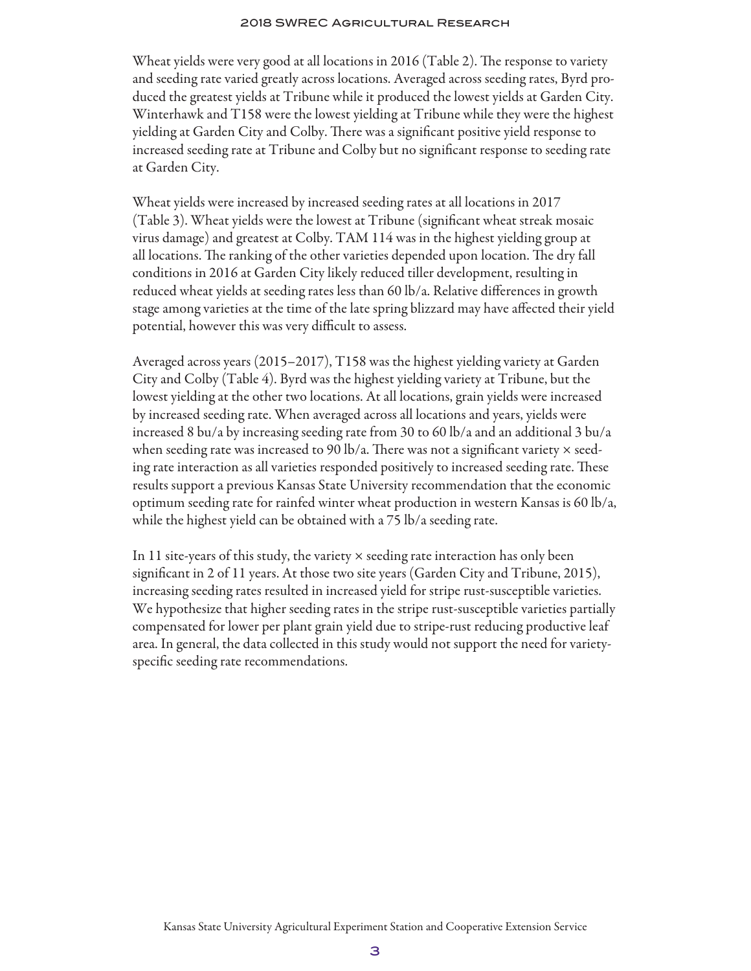Wheat yields were very good at all locations in 2016 (Table 2). The response to variety and seeding rate varied greatly across locations. Averaged across seeding rates, Byrd produced the greatest yields at Tribune while it produced the lowest yields at Garden City. Winterhawk and T158 were the lowest yielding at Tribune while they were the highest yielding at Garden City and Colby. There was a significant positive yield response to increased seeding rate at Tribune and Colby but no significant response to seeding rate at Garden City.

Wheat yields were increased by increased seeding rates at all locations in 2017 (Table 3). Wheat yields were the lowest at Tribune (significant wheat streak mosaic virus damage) and greatest at Colby. TAM 114 was in the highest yielding group at all locations. The ranking of the other varieties depended upon location. The dry fall conditions in 2016 at Garden City likely reduced tiller development, resulting in reduced wheat yields at seeding rates less than 60 lb/a. Relative differences in growth stage among varieties at the time of the late spring blizzard may have affected their yield potential, however this was very difficult to assess.

Averaged across years (2015–2017), T158 was the highest yielding variety at Garden City and Colby (Table 4). Byrd was the highest yielding variety at Tribune, but the lowest yielding at the other two locations. At all locations, grain yields were increased by increased seeding rate. When averaged across all locations and years, yields were increased 8 bu/a by increasing seeding rate from 30 to 60 lb/a and an additional 3 bu/a when seeding rate was increased to 90 lb/a. There was not a significant variety  $\times$  seeding rate interaction as all varieties responded positively to increased seeding rate. These results support a previous Kansas State University recommendation that the economic optimum seeding rate for rainfed winter wheat production in western Kansas is 60 lb/a, while the highest yield can be obtained with a 75 lb/a seeding rate.

In 11 site-years of this study, the variety  $\times$  seeding rate interaction has only been significant in 2 of 11 years. At those two site years (Garden City and Tribune, 2015), increasing seeding rates resulted in increased yield for stripe rust-susceptible varieties. We hypothesize that higher seeding rates in the stripe rust-susceptible varieties partially compensated for lower per plant grain yield due to stripe-rust reducing productive leaf area. In general, the data collected in this study would not support the need for varietyspecific seeding rate recommendations.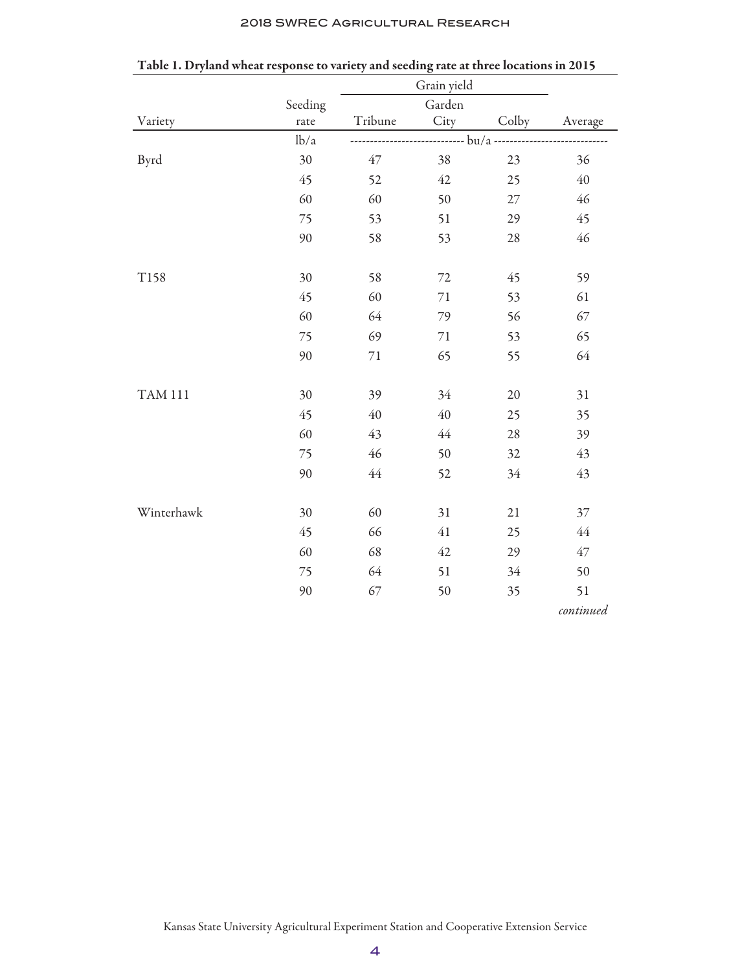|  | <b>2018 SWREC AGRICULTURAL RESEARCH</b> |  |
|--|-----------------------------------------|--|
|--|-----------------------------------------|--|

|                | Seeding |         | Garden |        |           |
|----------------|---------|---------|--------|--------|-----------|
| Variety        | rate    | Tribune | City   | Colby  | Average   |
|                | lb/a    |         |        |        |           |
| Byrd           | 30      | 47      | 38     | 23     | 36        |
|                | 45      | 52      | 42     | 25     | 40        |
|                | 60      | 60      | 50     | $27\,$ | 46        |
|                | 75      | 53      | 51     | 29     | 45        |
|                | 90      | 58      | 53     | $28\,$ | 46        |
|                |         |         |        |        |           |
| T158           | 30      | 58      | $72\,$ | 45     | 59        |
|                | 45      | 60      | $71\,$ | 53     | 61        |
|                | 60      | 64      | 79     | 56     | 67        |
|                | 75      | 69      | 71     | 53     | 65        |
|                | 90      | $71\,$  | 65     | 55     | 64        |
|                |         |         |        |        |           |
| <b>TAM 111</b> | 30      | 39      | 34     | 20     | 31        |
|                | 45      | 40      | 40     | 25     | 35        |
|                | 60      | 43      | 44     | 28     | 39        |
|                | 75      | 46      | 50     | 32     | 43        |
|                | 90      | 44      | 52     | 34     | 43        |
|                |         |         |        |        |           |
| Winterhawk     | 30      | 60      | 31     | 21     | 37        |
|                | 45      | 66      | 41     | 25     | $44$      |
|                | 60      | 68      | 42     | 29     | $47\,$    |
|                | 75      | 64      | 51     | 34     | 50        |
|                | 90      | 67      | 50     | 35     | 51        |
|                |         |         |        |        | continued |

Table 1. Dryland wheat response to variety and seeding rate at three locations in 2015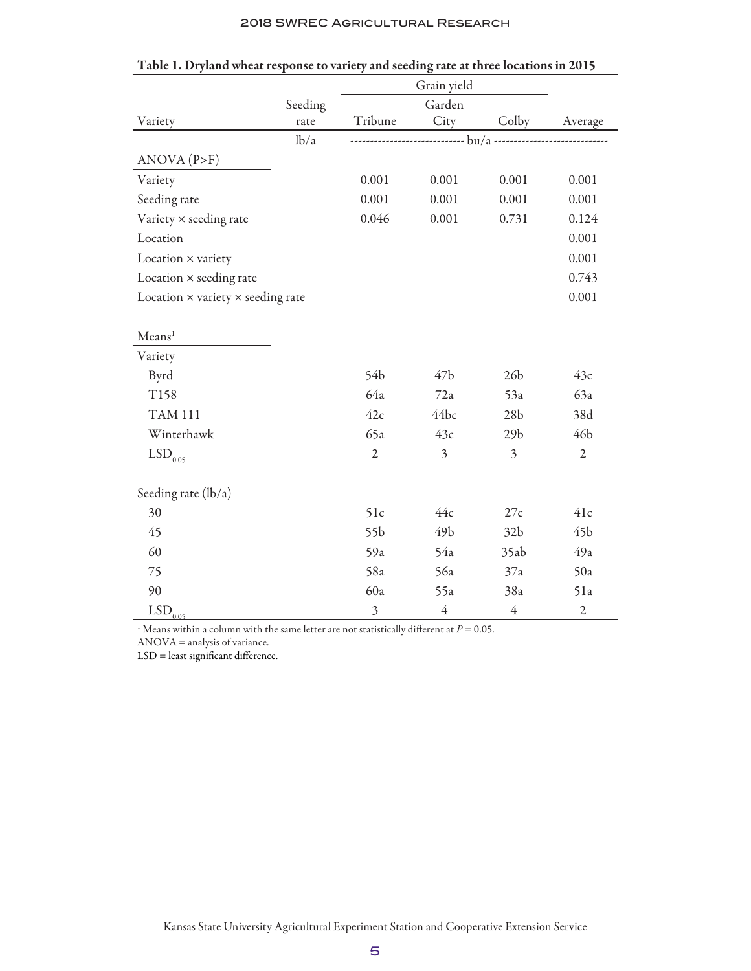|                                                 |         |                 | Grain yield     |                 |                 |
|-------------------------------------------------|---------|-----------------|-----------------|-----------------|-----------------|
|                                                 | Seeding |                 | Garden          |                 |                 |
| Variety                                         | rate    | Tribune         | City            | Colby           | Average         |
|                                                 | lb/a    |                 |                 |                 |                 |
| ANOVA (P>F)                                     |         |                 |                 |                 |                 |
| Variety                                         |         | 0.001           | 0.001           | 0.001           | 0.001           |
| Seeding rate                                    |         | 0.001           | 0.001           | 0.001           | 0.001           |
| Variety × seeding rate                          |         | 0.046           | 0.001           | 0.731           | 0.124           |
| Location                                        |         |                 |                 |                 | 0.001           |
| Location × variety                              |         |                 |                 |                 | 0.001           |
| Location $\times$ seeding rate                  |         |                 |                 |                 | 0.743           |
| Location $\times$ variety $\times$ seeding rate |         |                 |                 |                 | 0.001           |
|                                                 |         |                 |                 |                 |                 |
| Mean <sup>1</sup>                               |         |                 |                 |                 |                 |
| Variety                                         |         |                 |                 |                 |                 |
| Byrd                                            |         | 54b             | 47 <sub>b</sub> | 26 <sub>b</sub> | 43c             |
| T158                                            |         | 64a             | 72a             | 53a             | 63a             |
| <b>TAM 111</b>                                  |         | 42c             | 44bc            | 28 <sub>b</sub> | 38d             |
| Winterhawk                                      |         | 65a             | 43c             | 29 <sub>b</sub> | 46b             |
| $\mathrm{LSD}_{0.05}$                           |         | $\overline{2}$  | $\mathfrak{Z}$  | 3               | $\overline{2}$  |
|                                                 |         |                 |                 |                 |                 |
| Seeding rate (lb/a)                             |         |                 |                 |                 |                 |
| 30                                              |         | 51c             | 44c             | 27c             | 41c             |
| 45                                              |         | 55 <sub>b</sub> | 49 <sub>b</sub> | 32 <sub>b</sub> | 45 <sub>b</sub> |
| 60                                              |         | 59a             | 54a             | 35ab            | 49a             |
| 75                                              |         | 58a             | 56a             | 37a             | 50a             |
| 90                                              |         | 60a             | 55a             | 38a             | 51a             |
| $LSD$ <sub>0.05</sub>                           |         | $\mathfrak{Z}$  | $\overline{4}$  | $\overline{4}$  | $\mathfrak{2}$  |

|  | Table 1. Dryland wheat response to variety and seeding rate at three locations in 2015 |  |
|--|----------------------------------------------------------------------------------------|--|
|  |                                                                                        |  |

<sup>1</sup> Means within a column with the same letter are not statistically different at  $P = 0.05$ .

ANOVA = analysis of variance.

LSD = least significant difference.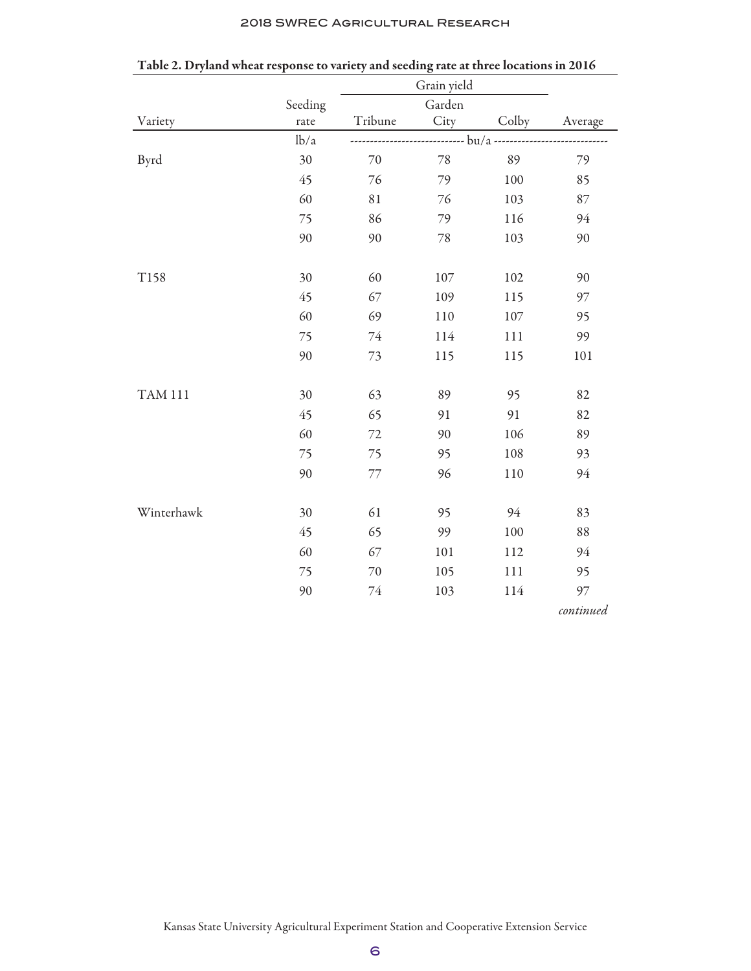|  | <b>2018 SWREC AGRICULTURAL RESEARCH</b> |  |
|--|-----------------------------------------|--|
|--|-----------------------------------------|--|

|                | Seeding |         | Garden |       |           |
|----------------|---------|---------|--------|-------|-----------|
| Variety        | rate    | Tribune | City   | Colby | Average   |
|                | lb/a    |         |        |       |           |
| Byrd           | 30      | 70      | 78     | 89    | 79        |
|                | 45      | 76      | 79     | 100   | 85        |
|                | 60      | 81      | 76     | 103   | 87        |
|                | 75      | 86      | 79     | 116   | 94        |
|                | 90      | 90      | $78\,$ | 103   | 90        |
|                |         |         |        |       |           |
| T158           | 30      | 60      | 107    | 102   | 90        |
|                | 45      | 67      | 109    | 115   | 97        |
|                | 60      | 69      | 110    | 107   | 95        |
|                | 75      | $74\,$  | 114    | 111   | 99        |
|                | 90      | 73      | 115    | 115   | 101       |
|                |         |         |        |       |           |
| <b>TAM 111</b> | 30      | 63      | 89     | 95    | 82        |
|                | 45      | 65      | 91     | 91    | 82        |
|                | 60      | 72      | 90     | 106   | 89        |
|                | 75      | 75      | 95     | 108   | 93        |
|                | 90      | 77      | 96     | 110   | 94        |
|                |         |         |        |       |           |
| Winterhawk     | 30      | 61      | 95     | 94    | 83        |
|                | 45      | 65      | 99     | 100   | 88        |
|                | 60      | 67      | 101    | 112   | 94        |
|                | 75      | 70      | 105    | 111   | 95        |
|                | 90      | 74      | 103    | 114   | 97        |
|                |         |         |        |       | continued |

Table 2. Dryland wheat response to variety and seeding rate at three locations in 2016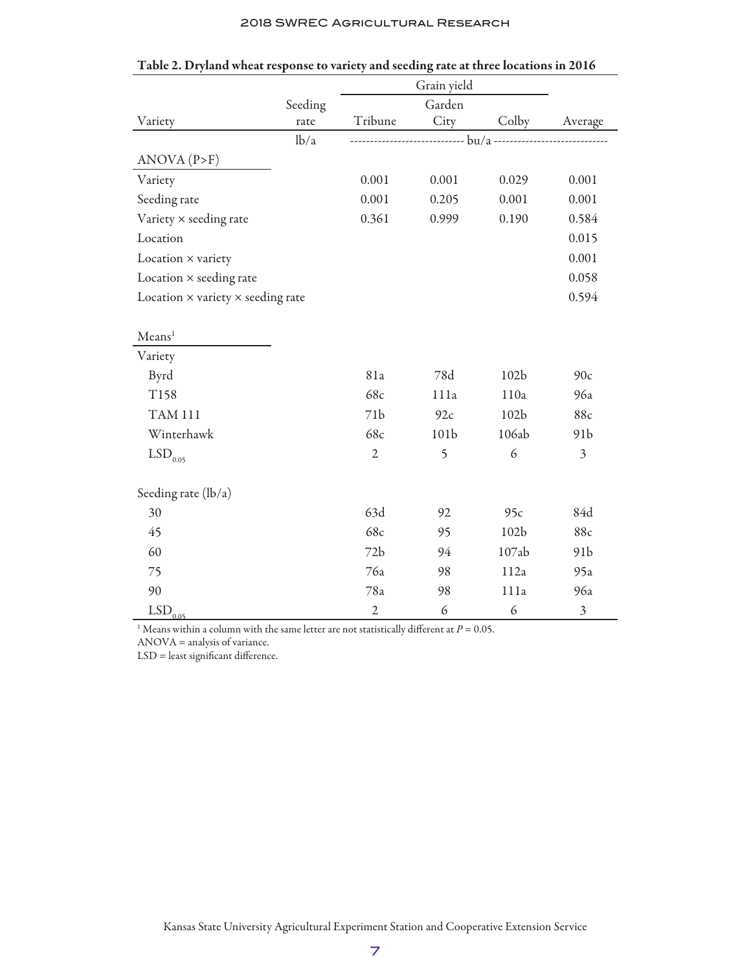|                                                 |         |                | Grain yield      |                  |                         |
|-------------------------------------------------|---------|----------------|------------------|------------------|-------------------------|
|                                                 | Seeding |                | Garden           |                  |                         |
| Variety                                         | rate    | Tribune        | City             | Colby            | Average                 |
|                                                 | lb/a    |                |                  |                  |                         |
| ANOVA (P>F)                                     |         |                |                  |                  |                         |
| Variety                                         |         | 0.001          | 0.001            | 0.029            | 0.001                   |
| Seeding rate                                    |         | 0.001          | 0.205            | 0.001            | 0.001                   |
| Variety × seeding rate                          |         | 0.361          | 0.999            | 0.190            | 0.584                   |
| Location                                        |         |                |                  |                  | 0.015                   |
| Location × variety                              |         |                |                  |                  | 0.001                   |
| Location $\times$ seeding rate                  |         |                |                  |                  | 0.058                   |
| Location $\times$ variety $\times$ seeding rate |         |                |                  |                  | 0.594                   |
|                                                 |         |                |                  |                  |                         |
| Mean <sup>1</sup>                               |         |                |                  |                  |                         |
| Variety                                         |         |                |                  |                  |                         |
| Byrd                                            |         | 81a            | 78d              | 102 <sub>b</sub> | 90c                     |
| T158                                            |         | 68c            | 111a             | 110a             | 96a                     |
| <b>TAM 111</b>                                  |         | 71b            | 92c              | 102 <sub>b</sub> | 88c                     |
| Winterhawk                                      |         | 68c            | 101 <sub>b</sub> | 106ab            | 91 <sub>b</sub>         |
| $\mathrm{LSD}_{0.05}$                           |         | $\overline{2}$ | 5                | 6                | $\overline{\mathbf{3}}$ |
|                                                 |         |                |                  |                  |                         |
| Seeding rate (lb/a)                             |         |                |                  |                  |                         |
| 30                                              |         | 63d            | 92               | 95c              | 84d                     |
| 45                                              |         | 68c            | 95               | 102 <sub>b</sub> | 88c                     |
| 60                                              |         | 72b            | 94               | 107ab            | 91 <sub>b</sub>         |
| 75                                              |         | 76a            | 98               | 112a             | 95a                     |
| 90                                              |         | 78a            | 98               | 111a             | 96a                     |
| $LSD$ <sub>0.05</sub>                           |         | $\sqrt{2}$     | 6                | 6                | $\mathfrak{Z}$          |

| Table 2. Dryland wheat response to variety and seeding rate at three locations in 2016 |  |  |
|----------------------------------------------------------------------------------------|--|--|
|                                                                                        |  |  |

<sup>1</sup> Means within a column with the same letter are not statistically different at  $P = 0.05$ .

ANOVA = analysis of variance.

LSD = least significant difference.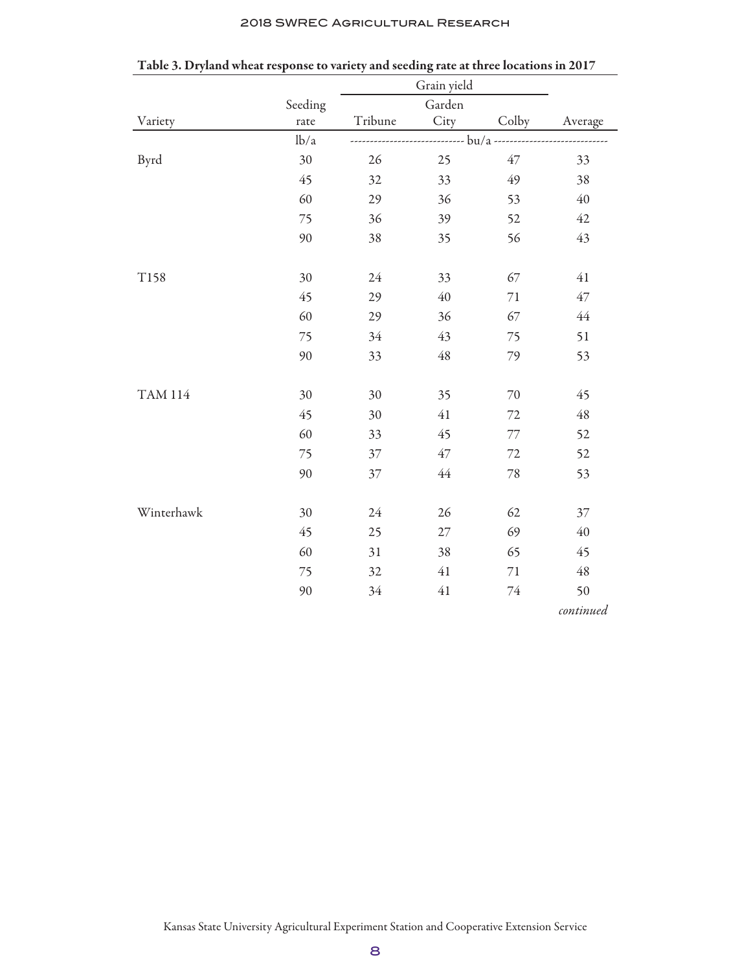|  | <b>2018 SWREC AGRICULTURAL RESEARCH</b> |  |
|--|-----------------------------------------|--|
|--|-----------------------------------------|--|

|                |         |         | Grain yield |        |             |
|----------------|---------|---------|-------------|--------|-------------|
|                | Seeding |         | Garden      |        |             |
| Variety        | rate    | Tribune | City        | Colby  | Average     |
|                | lb/a    |         |             |        |             |
| Byrd           | 30      | 26      | 25          | $47\,$ | 33          |
|                | 45      | 32      | 33          | 49     | 38          |
|                | 60      | 29      | 36          | 53     | 40          |
|                | 75      | 36      | 39          | 52     | $42\,$      |
|                | 90      | 38      | 35          | 56     | 43          |
|                |         |         |             |        |             |
| T158           | 30      | 24      | 33          | 67     | $41\,$      |
|                | 45      | 29      | 40          | $71\,$ | 47          |
|                | 60      | 29      | 36          | 67     | $44$        |
|                | 75      | 34      | 43          | 75     | 51          |
|                | 90      | 33      | 48          | 79     | 53          |
|                |         |         |             |        |             |
| <b>TAM 114</b> | 30      | 30      | 35          | 70     | 45          |
|                | 45      | 30      | 41          | 72     | $\sqrt{48}$ |
|                | 60      | 33      | 45          | 77     | 52          |
|                | 75      | 37      | 47          | 72     | 52          |
|                | 90      | 37      | $44$        | $78\,$ | 53          |
|                |         |         |             |        |             |
| Winterhawk     | 30      | 24      | 26          | 62     | 37          |
|                | 45      | 25      | 27          | 69     | $40\,$      |
|                | 60      | 31      | 38          | 65     | 45          |
|                | 75      | 32      | $41\,$      | $71\,$ | $\sqrt{48}$ |
|                | 90      | 34      | 41          | $74\,$ | 50          |
|                |         |         |             |        | continued   |

Table 3. Dryland wheat response to variety and seeding rate at three locations in 2017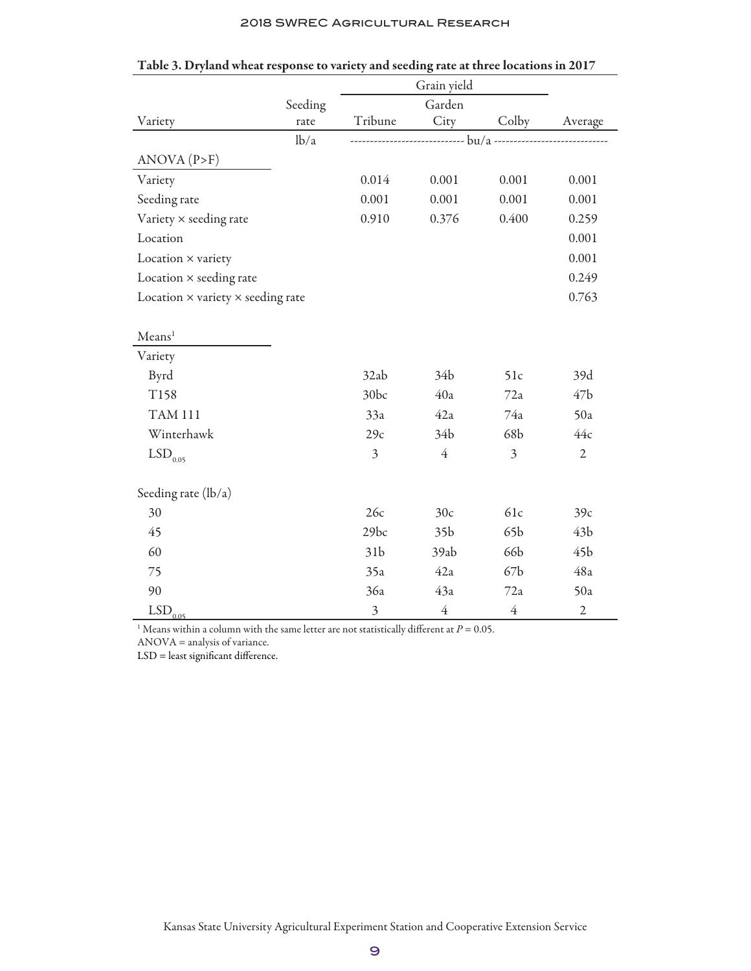|                                                 |         |                 | Grain yield     |                 |                 |
|-------------------------------------------------|---------|-----------------|-----------------|-----------------|-----------------|
|                                                 | Seeding |                 | Garden          |                 |                 |
| Variety                                         | rate    | Tribune         | City            | Colby           | Average         |
|                                                 | lb/a    |                 |                 |                 |                 |
| ANOVA (P>F)                                     |         |                 |                 |                 |                 |
| Variety                                         |         | 0.014           | 0.001           | 0.001           | 0.001           |
| Seeding rate                                    |         | 0.001           | 0.001           | 0.001           | 0.001           |
| Variety × seeding rate                          |         | 0.910           | 0.376           | 0.400           | 0.259           |
| Location                                        |         |                 |                 |                 | 0.001           |
| Location × variety                              |         |                 |                 |                 | 0.001           |
| Location × seeding rate                         |         |                 |                 |                 | 0.249           |
| Location $\times$ variety $\times$ seeding rate |         |                 |                 |                 | 0.763           |
|                                                 |         |                 |                 |                 |                 |
| Mean <sup>1</sup>                               |         |                 |                 |                 |                 |
| Variety                                         |         |                 |                 |                 |                 |
| Byrd                                            |         | 32ab            | 34 <sub>b</sub> | 51c             | 39d             |
| T158                                            |         | 30bc            | 40a             | 72a             | 47 <sub>b</sub> |
| <b>TAM 111</b>                                  |         | 33a             | 42a             | 74a             | 50a             |
| Winterhawk                                      |         | 29c             | 34 <sub>b</sub> | 68b             | 44c             |
| $\mathrm{LSD}_{0.05}$                           |         | $\overline{3}$  | $\overline{4}$  | 3               | $\overline{2}$  |
|                                                 |         |                 |                 |                 |                 |
| Seeding rate (lb/a)                             |         |                 |                 |                 |                 |
| 30                                              |         | 26c             | 30c             | 61c             | 39c             |
| 45                                              |         | 29bc            | 35 <sub>b</sub> | 65b             | 43 <sub>b</sub> |
| 60                                              |         | 31 <sub>b</sub> | 39ab            | 66b             | 45 <sub>b</sub> |
| 75                                              |         | 35a             | 42a             | 67 <sub>b</sub> | 48a             |
| 90                                              |         | 36a             | 43a             | 72a             | 50a             |
| $LSD$ <sub>0.05</sub>                           |         | $\mathfrak{Z}$  | $\overline{4}$  | $\overline{4}$  | $\sqrt{2}$      |

| Table 3. Dryland wheat response to variety and seeding rate at three locations in 2017 |  |  |  |
|----------------------------------------------------------------------------------------|--|--|--|
|                                                                                        |  |  |  |

<sup>1</sup> Means within a column with the same letter are not statistically different at  $P = 0.05$ .

ANOVA = analysis of variance.

LSD = least significant difference.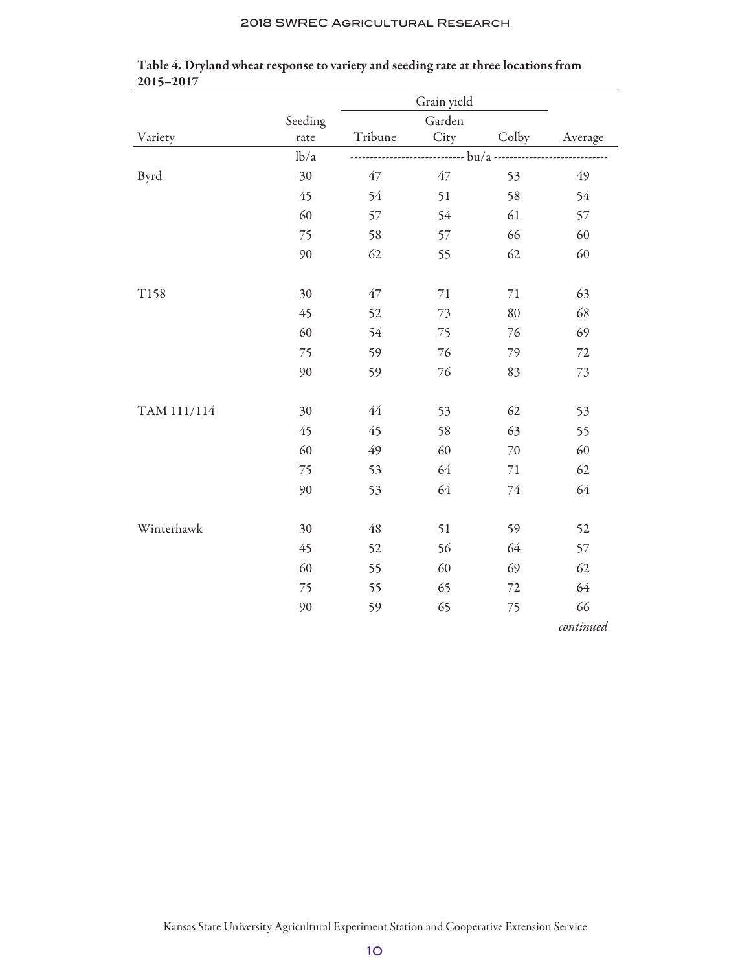|             | Seeding | Garden  |        |       |           |
|-------------|---------|---------|--------|-------|-----------|
| Variety     | rate    | Tribune | City   | Colby | Average   |
|             | lb/a    |         |        |       |           |
| Byrd        | 30      | 47      | 47     | 53    | 49        |
|             | 45      | 54      | 51     | 58    | 54        |
|             | 60      | 57      | 54     | 61    | 57        |
|             | 75      | 58      | 57     | 66    | 60        |
|             | 90      | 62      | 55     | 62    | 60        |
|             |         |         |        |       |           |
| T158        | 30      | 47      | $71\,$ | 71    | 63        |
|             | 45      | 52      | 73     | 80    | 68        |
|             | 60      | 54      | 75     | 76    | 69        |
|             | 75      | 59      | 76     | 79    | $72\,$    |
|             | 90      | 59      | 76     | 83    | 73        |
|             |         |         |        |       |           |
| TAM 111/114 | 30      | $44$    | 53     | 62    | 53        |
|             | 45      | 45      | 58     | 63    | 55        |
|             | 60      | 49      | 60     | 70    | 60        |
|             | 75      | 53      | 64     | 71    | 62        |
|             | 90      | 53      | 64     | 74    | 64        |
|             |         |         |        |       |           |
| Winterhawk  | 30      | 48      | 51     | 59    | 52        |
|             | 45      | 52      | 56     | 64    | 57        |
|             | 60      | 55      | 60     | 69    | 62        |
|             | 75      | 55      | 65     | 72    | 64        |
|             | 90      | 59      | 65     | 75    | 66        |
|             |         |         |        |       | continued |

### Table 4. Dryland wheat response to variety and seeding rate at three locations from 2015–2017